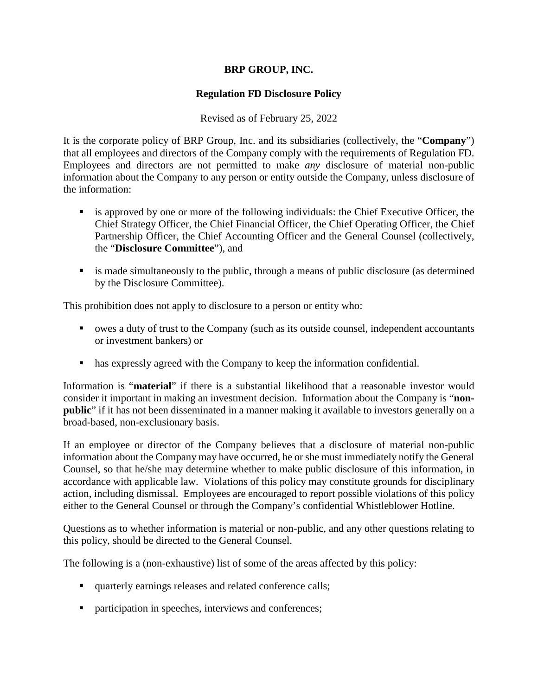# **BRP GROUP, INC.**

# **Regulation FD Disclosure Policy**

Revised as of February 25, 2022

It is the corporate policy of BRP Group, Inc. and its subsidiaries (collectively, the "**Company**") that all employees and directors of the Company comply with the requirements of Regulation FD. Employees and directors are not permitted to make *any* disclosure of material non-public information about the Company to any person or entity outside the Company, unless disclosure of the information:

- is approved by one or more of the following individuals: the Chief Executive Officer, the Chief Strategy Officer, the Chief Financial Officer, the Chief Operating Officer, the Chief Partnership Officer, the Chief Accounting Officer and the General Counsel (collectively, the "**Disclosure Committee**"), and
- is made simultaneously to the public, through a means of public disclosure (as determined by the Disclosure Committee).

This prohibition does not apply to disclosure to a person or entity who:

- owes a duty of trust to the Company (such as its outside counsel, independent accountants or investment bankers) or
- has expressly agreed with the Company to keep the information confidential.

Information is "**material**" if there is a substantial likelihood that a reasonable investor would consider it important in making an investment decision. Information about the Company is "**nonpublic**" if it has not been disseminated in a manner making it available to investors generally on a broad-based, non-exclusionary basis.

If an employee or director of the Company believes that a disclosure of material non-public information about the Company may have occurred, he or she must immediately notify the General Counsel, so that he/she may determine whether to make public disclosure of this information, in accordance with applicable law. Violations of this policy may constitute grounds for disciplinary action, including dismissal. Employees are encouraged to report possible violations of this policy either to the General Counsel or through the Company's confidential Whistleblower Hotline.

Questions as to whether information is material or non-public, and any other questions relating to this policy, should be directed to the General Counsel.

The following is a (non-exhaustive) list of some of the areas affected by this policy:

- quarterly earnings releases and related conference calls;
- **participation in speeches, interviews and conferences;**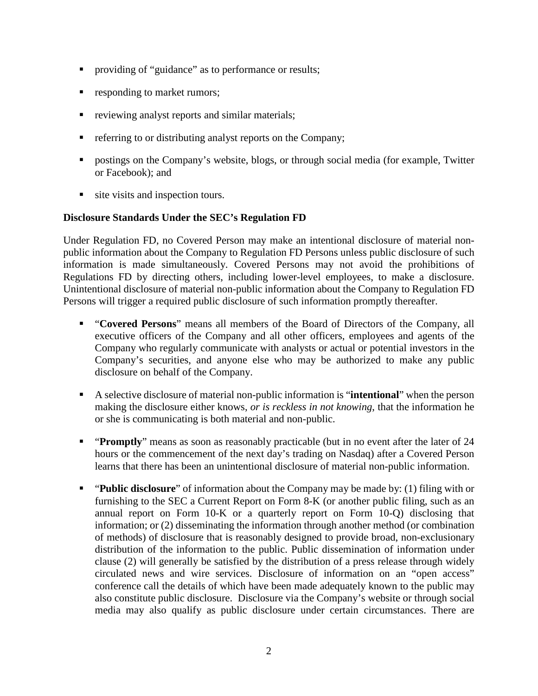- **•** providing of "guidance" as to performance or results;
- **•** responding to market rumors;
- reviewing analyst reports and similar materials;
- **•** referring to or distributing analyst reports on the Company;
- postings on the Company's website, blogs, or through social media (for example, Twitter or Facebook); and
- site visits and inspection tours.

## **Disclosure Standards Under the SEC's Regulation FD**

Under Regulation FD, no Covered Person may make an intentional disclosure of material nonpublic information about the Company to Regulation FD Persons unless public disclosure of such information is made simultaneously. Covered Persons may not avoid the prohibitions of Regulations FD by directing others, including lower-level employees, to make a disclosure. Unintentional disclosure of material non-public information about the Company to Regulation FD Persons will trigger a required public disclosure of such information promptly thereafter.

- "**Covered Persons**" means all members of the Board of Directors of the Company, all executive officers of the Company and all other officers, employees and agents of the Company who regularly communicate with analysts or actual or potential investors in the Company's securities, and anyone else who may be authorized to make any public disclosure on behalf of the Company.
- A selective disclosure of material non-public information is "**intentional**" when the person making the disclosure either knows, *or is reckless in not knowing*, that the information he or she is communicating is both material and non-public.
- **•** "**Promptly**" means as soon as reasonably practicable (but in no event after the later of 24 hours or the commencement of the next day's trading on Nasdaq) after a Covered Person learns that there has been an unintentional disclosure of material non-public information.
- "**Public disclosure**" of information about the Company may be made by: (1) filing with or furnishing to the SEC a Current Report on Form 8-K (or another public filing, such as an annual report on Form 10-K or a quarterly report on Form 10-Q) disclosing that information; or (2) disseminating the information through another method (or combination of methods) of disclosure that is reasonably designed to provide broad, non-exclusionary distribution of the information to the public. Public dissemination of information under clause (2) will generally be satisfied by the distribution of a press release through widely circulated news and wire services. Disclosure of information on an "open access" conference call the details of which have been made adequately known to the public may also constitute public disclosure. Disclosure via the Company's website or through social media may also qualify as public disclosure under certain circumstances. There are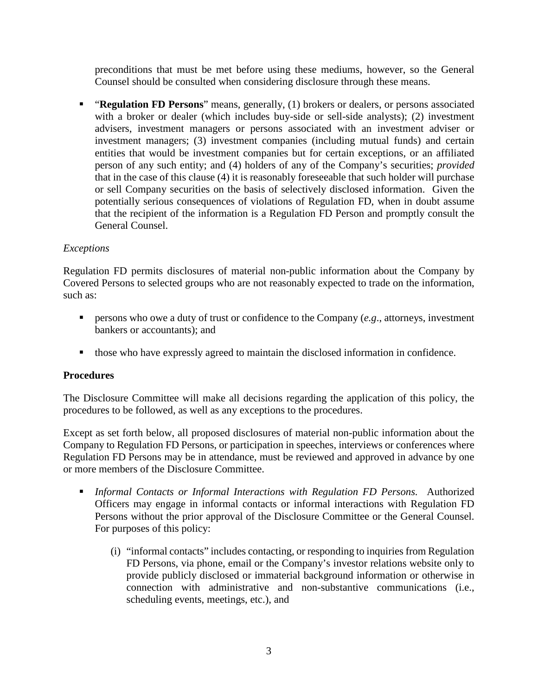preconditions that must be met before using these mediums, however, so the General Counsel should be consulted when considering disclosure through these means.

 "**Regulation FD Persons**" means, generally, (1) brokers or dealers, or persons associated with a broker or dealer (which includes buy-side or sell-side analysts); (2) investment advisers, investment managers or persons associated with an investment adviser or investment managers; (3) investment companies (including mutual funds) and certain entities that would be investment companies but for certain exceptions, or an affiliated person of any such entity; and (4) holders of any of the Company's securities; *provided* that in the case of this clause (4) it is reasonably foreseeable that such holder will purchase or sell Company securities on the basis of selectively disclosed information. Given the potentially serious consequences of violations of Regulation FD, when in doubt assume that the recipient of the information is a Regulation FD Person and promptly consult the General Counsel.

## *Exceptions*

Regulation FD permits disclosures of material non-public information about the Company by Covered Persons to selected groups who are not reasonably expected to trade on the information, such as:

- **Persons who owe a duty of trust or confidence to the Company (***e.g.***, attorneys, investment** bankers or accountants); and
- those who have expressly agreed to maintain the disclosed information in confidence.

## **Procedures**

The Disclosure Committee will make all decisions regarding the application of this policy, the procedures to be followed, as well as any exceptions to the procedures.

Except as set forth below, all proposed disclosures of material non-public information about the Company to Regulation FD Persons, or participation in speeches, interviews or conferences where Regulation FD Persons may be in attendance, must be reviewed and approved in advance by one or more members of the Disclosure Committee.

- *Informal Contacts or Informal Interactions with Regulation FD Persons.* Authorized Officers may engage in informal contacts or informal interactions with Regulation FD Persons without the prior approval of the Disclosure Committee or the General Counsel. For purposes of this policy:
	- (i) "informal contacts" includes contacting, or responding to inquiries from Regulation FD Persons, via phone, email or the Company's investor relations website only to provide publicly disclosed or immaterial background information or otherwise in connection with administrative and non-substantive communications (i.e., scheduling events, meetings, etc.), and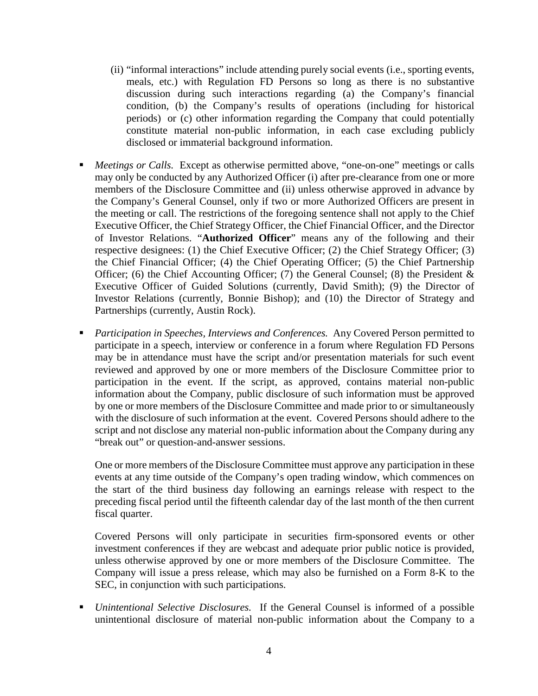- (ii) "informal interactions" include attending purely social events (i.e., sporting events, meals, etc.) with Regulation FD Persons so long as there is no substantive discussion during such interactions regarding (a) the Company's financial condition, (b) the Company's results of operations (including for historical periods) or (c) other information regarding the Company that could potentially constitute material non-public information, in each case excluding publicly disclosed or immaterial background information.
- *Meetings or Calls.* Except as otherwise permitted above, "one-on-one" meetings or calls may only be conducted by any Authorized Officer (i) after pre-clearance from one or more members of the Disclosure Committee and (ii) unless otherwise approved in advance by the Company's General Counsel, only if two or more Authorized Officers are present in the meeting or call. The restrictions of the foregoing sentence shall not apply to the Chief Executive Officer, the Chief Strategy Officer, the Chief Financial Officer, and the Director of Investor Relations. "**Authorized Officer**" means any of the following and their respective designees: (1) the Chief Executive Officer; (2) the Chief Strategy Officer; (3) the Chief Financial Officer; (4) the Chief Operating Officer; (5) the Chief Partnership Officer; (6) the Chief Accounting Officer; (7) the General Counsel; (8) the President  $\&$ Executive Officer of Guided Solutions (currently, David Smith); (9) the Director of Investor Relations (currently, Bonnie Bishop); and (10) the Director of Strategy and Partnerships (currently, Austin Rock).
- *Participation in Speeches, Interviews and Conferences.* Any Covered Person permitted to participate in a speech, interview or conference in a forum where Regulation FD Persons may be in attendance must have the script and/or presentation materials for such event reviewed and approved by one or more members of the Disclosure Committee prior to participation in the event. If the script, as approved, contains material non-public information about the Company, public disclosure of such information must be approved by one or more members of the Disclosure Committee and made prior to or simultaneously with the disclosure of such information at the event. Covered Persons should adhere to the script and not disclose any material non-public information about the Company during any "break out" or question-and-answer sessions.

One or more members of the Disclosure Committee must approve any participation in these events at any time outside of the Company's open trading window, which commences on the start of the third business day following an earnings release with respect to the preceding fiscal period until the fifteenth calendar day of the last month of the then current fiscal quarter.

Covered Persons will only participate in securities firm-sponsored events or other investment conferences if they are webcast and adequate prior public notice is provided, unless otherwise approved by one or more members of the Disclosure Committee. The Company will issue a press release, which may also be furnished on a Form 8-K to the SEC, in conjunction with such participations.

 *Unintentional Selective Disclosures.* If the General Counsel is informed of a possible unintentional disclosure of material non-public information about the Company to a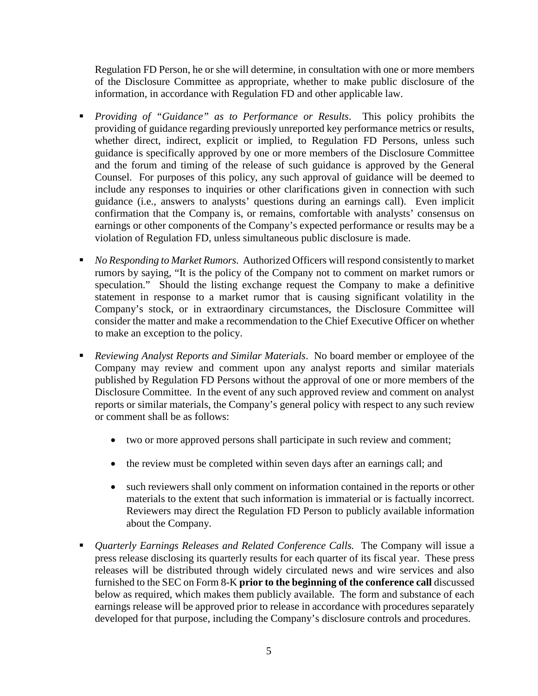Regulation FD Person, he or she will determine, in consultation with one or more members of the Disclosure Committee as appropriate, whether to make public disclosure of the information, in accordance with Regulation FD and other applicable law.

- *Providing of "Guidance" as to Performance or Results*. This policy prohibits the providing of guidance regarding previously unreported key performance metrics or results, whether direct, indirect, explicit or implied, to Regulation FD Persons, unless such guidance is specifically approved by one or more members of the Disclosure Committee and the forum and timing of the release of such guidance is approved by the General Counsel. For purposes of this policy, any such approval of guidance will be deemed to include any responses to inquiries or other clarifications given in connection with such guidance (i.e., answers to analysts' questions during an earnings call). Even implicit confirmation that the Company is, or remains, comfortable with analysts' consensus on earnings or other components of the Company's expected performance or results may be a violation of Regulation FD, unless simultaneous public disclosure is made.
- *No Responding to Market Rumors.* Authorized Officers will respond consistently to market rumors by saying, "It is the policy of the Company not to comment on market rumors or speculation." Should the listing exchange request the Company to make a definitive statement in response to a market rumor that is causing significant volatility in the Company's stock, or in extraordinary circumstances, the Disclosure Committee will consider the matter and make a recommendation to the Chief Executive Officer on whether to make an exception to the policy.
- *Reviewing Analyst Reports and Similar Materials*. No board member or employee of the Company may review and comment upon any analyst reports and similar materials published by Regulation FD Persons without the approval of one or more members of the Disclosure Committee. In the event of any such approved review and comment on analyst reports or similar materials, the Company's general policy with respect to any such review or comment shall be as follows:
	- two or more approved persons shall participate in such review and comment;
	- the review must be completed within seven days after an earnings call; and
	- such reviewers shall only comment on information contained in the reports or other materials to the extent that such information is immaterial or is factually incorrect. Reviewers may direct the Regulation FD Person to publicly available information about the Company.
- *Quarterly Earnings Releases and Related Conference Calls.* The Company will issue a press release disclosing its quarterly results for each quarter of its fiscal year. These press releases will be distributed through widely circulated news and wire services and also furnished to the SEC on Form 8-K **prior to the beginning of the conference call** discussed below as required, which makes them publicly available. The form and substance of each earnings release will be approved prior to release in accordance with procedures separately developed for that purpose, including the Company's disclosure controls and procedures.